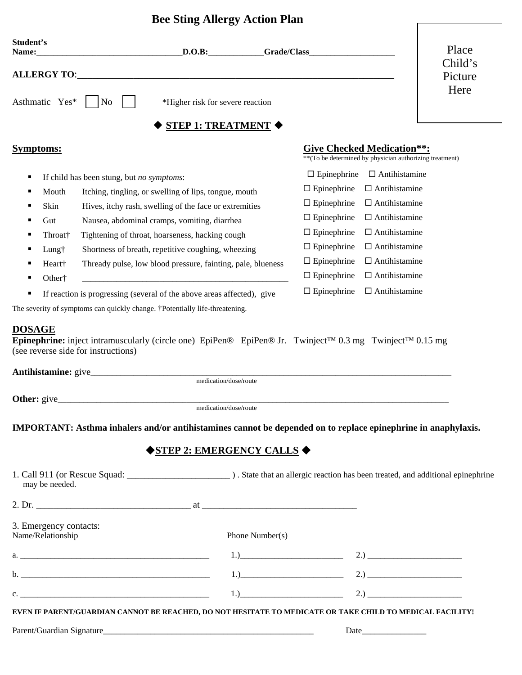## **Bee Sting Allergy Action Plan**

| Student's<br>Name:                          |                                                 | $D.O.B.$ Grade/Class                                                                                                                                                                          |                 |                                                                                                                                                                                                                                                                                     |                                                                                               | Place              |  |
|---------------------------------------------|-------------------------------------------------|-----------------------------------------------------------------------------------------------------------------------------------------------------------------------------------------------|-----------------|-------------------------------------------------------------------------------------------------------------------------------------------------------------------------------------------------------------------------------------------------------------------------------------|-----------------------------------------------------------------------------------------------|--------------------|--|
|                                             |                                                 |                                                                                                                                                                                               |                 |                                                                                                                                                                                                                                                                                     |                                                                                               | Child's<br>Picture |  |
| Asthmatic Yes*                              | $\overline{N_{0}}$                              | *Higher risk for severe reaction                                                                                                                                                              |                 |                                                                                                                                                                                                                                                                                     |                                                                                               | Here               |  |
|                                             |                                                 | STEP 1: TREATMENT $\blacklozenge$                                                                                                                                                             |                 |                                                                                                                                                                                                                                                                                     |                                                                                               |                    |  |
| <b>Symptoms:</b>                            |                                                 |                                                                                                                                                                                               |                 |                                                                                                                                                                                                                                                                                     | <b>Give Checked Medication**:</b><br>** (To be determined by physician authorizing treatment) |                    |  |
| ٠                                           | If child has been stung, but no symptoms:       |                                                                                                                                                                                               |                 | $\Box$ Epinephrine                                                                                                                                                                                                                                                                  | $\Box$ Antihistamine                                                                          |                    |  |
| Mouth<br>п                                  |                                                 | Itching, tingling, or swelling of lips, tongue, mouth                                                                                                                                         |                 | $\Box$ Epinephrine                                                                                                                                                                                                                                                                  | $\Box$ Antihistamine                                                                          |                    |  |
| Skin<br>٠                                   |                                                 | Hives, itchy rash, swelling of the face or extremities                                                                                                                                        |                 | $\Box$ Epinephrine                                                                                                                                                                                                                                                                  | $\Box$ Antihistamine                                                                          |                    |  |
| Gut<br>٠                                    |                                                 | Nausea, abdominal cramps, vomiting, diarrhea                                                                                                                                                  |                 | $\Box$ Epinephrine                                                                                                                                                                                                                                                                  | $\Box$ Antihistamine                                                                          |                    |  |
| Throat <sup>†</sup>                         | Tightening of throat, hoarseness, hacking cough |                                                                                                                                                                                               |                 | $\Box$ Antihistamine<br>$\Box$ Epinephrine                                                                                                                                                                                                                                          |                                                                                               |                    |  |
| Lung†                                       |                                                 | Shortness of breath, repetitive coughing, wheezing                                                                                                                                            |                 | $\Box$ Epinephrine                                                                                                                                                                                                                                                                  | $\Box$ Antihistamine                                                                          |                    |  |
| Heart†                                      |                                                 | Thready pulse, low blood pressure, fainting, pale, blueness                                                                                                                                   |                 | $\Box$ Epinephrine                                                                                                                                                                                                                                                                  | $\Box$ Antihistamine                                                                          |                    |  |
| Other <sup>†</sup>                          |                                                 |                                                                                                                                                                                               |                 | $\square$ Epinephrine                                                                                                                                                                                                                                                               | $\Box$ Antihistamine                                                                          |                    |  |
|                                             |                                                 | If reaction is progressing (several of the above areas affected), give                                                                                                                        |                 | $\Box$ Epinephrine                                                                                                                                                                                                                                                                  | $\Box$ Antihistamine                                                                          |                    |  |
| (see reverse side for instructions)         |                                                 | Epinephrine: inject intramuscularly (circle one) EpiPen® EpiPen® Jr. Twinject™ 0.3 mg Twinject™ 0.15 mg<br>medication/dose/route                                                              |                 |                                                                                                                                                                                                                                                                                     |                                                                                               |                    |  |
|                                             |                                                 |                                                                                                                                                                                               |                 |                                                                                                                                                                                                                                                                                     |                                                                                               |                    |  |
|                                             |                                                 | medication/dose/route<br>IMPORTANT: Asthma inhalers and/or antihistamines cannot be depended on to replace epinephrine in anaphylaxis.<br>$\bigdiamond$ STEP 2: EMERGENCY CALLS $\bigdiamond$ |                 |                                                                                                                                                                                                                                                                                     |                                                                                               |                    |  |
| may be needed.                              |                                                 |                                                                                                                                                                                               |                 |                                                                                                                                                                                                                                                                                     |                                                                                               |                    |  |
|                                             |                                                 |                                                                                                                                                                                               |                 |                                                                                                                                                                                                                                                                                     |                                                                                               |                    |  |
| 3. Emergency contacts:<br>Name/Relationship |                                                 |                                                                                                                                                                                               | Phone Number(s) |                                                                                                                                                                                                                                                                                     |                                                                                               |                    |  |
|                                             |                                                 |                                                                                                                                                                                               |                 | 1.) 2.) 2.1                                                                                                                                                                                                                                                                         |                                                                                               |                    |  |
|                                             |                                                 |                                                                                                                                                                                               |                 | 1.) 2.) 2.1 and $\frac{1}{2}$ 2.1 and $\frac{1}{2}$ 2.1 and $\frac{1}{2}$ and $\frac{1}{2}$ and $\frac{1}{2}$ and $\frac{1}{2}$ and $\frac{1}{2}$ and $\frac{1}{2}$ and $\frac{1}{2}$ and $\frac{1}{2}$ and $\frac{1}{2}$ and $\frac{1}{2}$ and $\frac{1}{2}$ and $\frac{1}{2}$ and |                                                                                               |                    |  |
| $c.$ $\overline{\phantom{a}}$               |                                                 |                                                                                                                                                                                               |                 | 1.) 2.) 2.1 and $\frac{1}{2}$ 2.1 and $\frac{1}{2}$ 2.1 and $\frac{1}{2}$ and $\frac{1}{2}$ and $\frac{1}{2}$ and $\frac{1}{2}$ and $\frac{1}{2}$ and $\frac{1}{2}$ and $\frac{1}{2}$ and $\frac{1}{2}$ and $\frac{1}{2}$ and $\frac{1}{2}$ and $\frac{1}{2}$ and $\frac{1}{2}$ and |                                                                                               |                    |  |

**EVEN IF PARENT/GUARDIAN CANNOT BE REACHED, DO NOT HESITATE TO MEDICATE OR TAKE CHILD TO MEDICAL FACILITY!** 

Parent/Guardian Signature\_\_\_\_\_\_\_\_\_\_\_\_\_\_\_\_\_\_\_\_\_\_\_\_\_\_\_\_\_\_\_\_\_\_\_\_\_\_\_\_\_\_\_\_\_\_\_\_\_ Date\_\_\_\_\_\_\_\_\_\_\_\_\_\_\_

Г